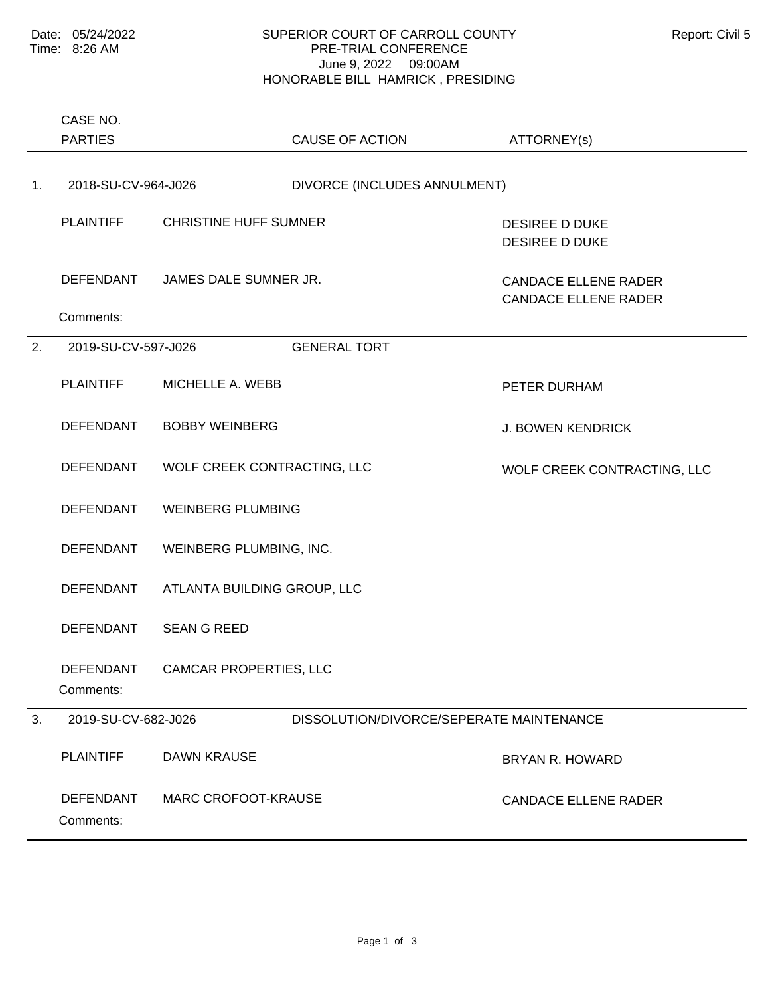## SUPERIOR COURT OF CARROLL COUNTY Report: Civil 5 PRE-TRIAL CONFERENCE June 9, 2022 09:00AM HONORABLE BILL HAMRICK , PRESIDING

|    | CASE NO.<br><b>PARTIES</b>    |                              | CAUSE OF ACTION                          | ATTORNEY(s)                                                |
|----|-------------------------------|------------------------------|------------------------------------------|------------------------------------------------------------|
| 1. | 2018-SU-CV-964-J026           |                              | DIVORCE (INCLUDES ANNULMENT)             |                                                            |
|    | <b>PLAINTIFF</b>              | <b>CHRISTINE HUFF SUMNER</b> |                                          | <b>DESIREE D DUKE</b><br><b>DESIREE D DUKE</b>             |
|    | DEFENDANT                     | JAMES DALE SUMNER JR.        |                                          | <b>CANDACE ELLENE RADER</b><br><b>CANDACE ELLENE RADER</b> |
|    | Comments:                     |                              |                                          |                                                            |
| 2. | 2019-SU-CV-597-J026           |                              | <b>GENERAL TORT</b>                      |                                                            |
|    | <b>PLAINTIFF</b>              | MICHELLE A. WEBB             |                                          | PETER DURHAM                                               |
|    | <b>DEFENDANT</b>              | <b>BOBBY WEINBERG</b>        |                                          | <b>J. BOWEN KENDRICK</b>                                   |
|    | <b>DEFENDANT</b>              | WOLF CREEK CONTRACTING, LLC  |                                          | WOLF CREEK CONTRACTING, LLC                                |
|    | <b>DEFENDANT</b>              | <b>WEINBERG PLUMBING</b>     |                                          |                                                            |
|    | <b>DEFENDANT</b>              | WEINBERG PLUMBING, INC.      |                                          |                                                            |
|    | <b>DEFENDANT</b>              | ATLANTA BUILDING GROUP, LLC  |                                          |                                                            |
|    | <b>DEFENDANT</b>              | <b>SEAN G REED</b>           |                                          |                                                            |
|    | <b>DEFENDANT</b><br>Comments: | CAMCAR PROPERTIES, LLC       |                                          |                                                            |
| 3. | 2019-SU-CV-682-J026           |                              | DISSOLUTION/DIVORCE/SEPERATE MAINTENANCE |                                                            |
|    | <b>PLAINTIFF</b>              | <b>DAWN KRAUSE</b>           |                                          | <b>BRYAN R. HOWARD</b>                                     |
|    | <b>DEFENDANT</b><br>Comments: | <b>MARC CROFOOT-KRAUSE</b>   |                                          | <b>CANDACE ELLENE RADER</b>                                |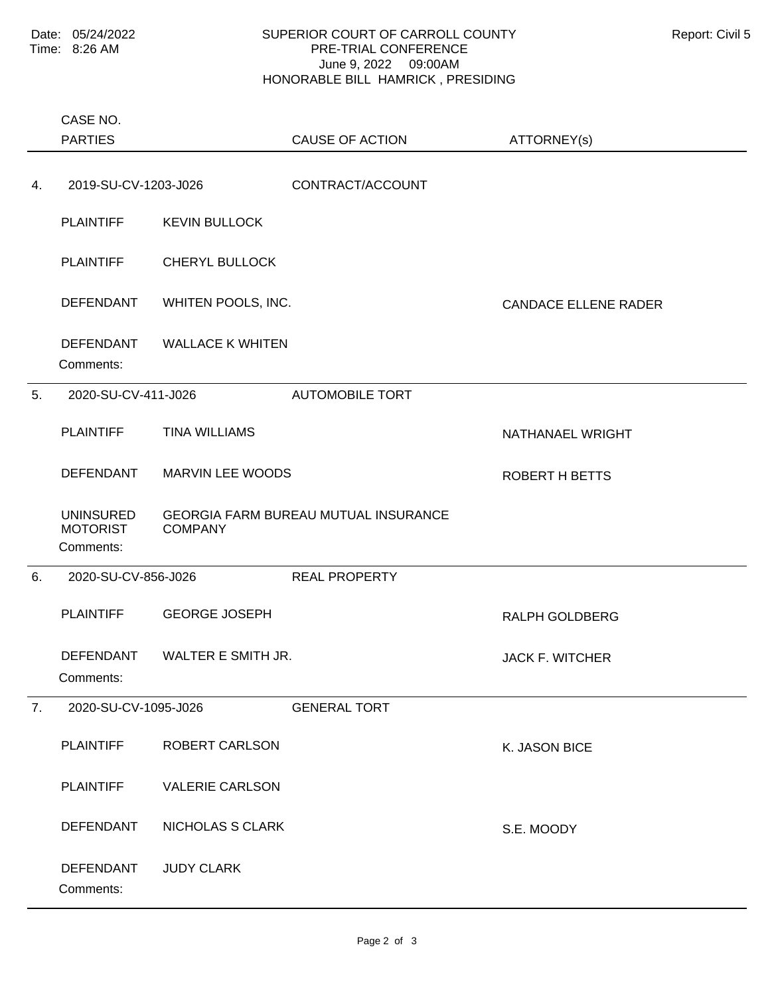## SUPERIOR COURT OF CARROLL COUNTY **Report: Civil 5** PRE-TRIAL CONFERENCE June 9, 2022 09:00AM HONORABLE BILL HAMRICK , PRESIDING

|    | CASE NO.<br><b>PARTIES</b>                       |                              | <b>CAUSE OF ACTION</b>                      |                             |
|----|--------------------------------------------------|------------------------------|---------------------------------------------|-----------------------------|
|    |                                                  |                              |                                             | ATTORNEY(s)                 |
| 4. | 2019-SU-CV-1203-J026                             |                              | CONTRACT/ACCOUNT                            |                             |
|    | <b>PLAINTIFF</b>                                 | <b>KEVIN BULLOCK</b>         |                                             |                             |
|    | <b>PLAINTIFF</b>                                 | <b>CHERYL BULLOCK</b>        |                                             |                             |
|    | <b>DEFENDANT</b>                                 | WHITEN POOLS, INC.           |                                             | <b>CANDACE ELLENE RADER</b> |
|    | <b>DEFENDANT</b><br>Comments:                    | <b>WALLACE K WHITEN</b>      |                                             |                             |
| 5. | 2020-SU-CV-411-J026                              |                              | <b>AUTOMOBILE TORT</b>                      |                             |
|    | <b>PLAINTIFF</b>                                 | <b>TINA WILLIAMS</b>         |                                             | NATHANAEL WRIGHT            |
|    | <b>DEFENDANT</b>                                 | MARVIN LEE WOODS             |                                             | ROBERT H BETTS              |
|    | <b>UNINSURED</b><br><b>MOTORIST</b><br>Comments: | <b>COMPANY</b>               | <b>GEORGIA FARM BUREAU MUTUAL INSURANCE</b> |                             |
| 6. | 2020-SU-CV-856-J026                              |                              | <b>REAL PROPERTY</b>                        |                             |
|    | <b>PLAINTIFF</b>                                 | <b>GEORGE JOSEPH</b>         |                                             | RALPH GOLDBERG              |
|    | Comments:                                        | DEFENDANT WALTER E SMITH JR. |                                             | JACK F. WITCHER             |
| 7. | 2020-SU-CV-1095-J026                             |                              | <b>GENERAL TORT</b>                         |                             |
|    | <b>PLAINTIFF</b>                                 | ROBERT CARLSON               |                                             | K. JASON BICE               |
|    | <b>PLAINTIFF</b>                                 | <b>VALERIE CARLSON</b>       |                                             |                             |
|    | <b>DEFENDANT</b>                                 | NICHOLAS S CLARK             |                                             | S.E. MOODY                  |
|    | <b>DEFENDANT</b><br>Comments:                    | <b>JUDY CLARK</b>            |                                             |                             |